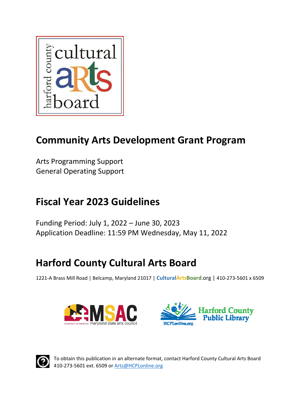

# **Community Arts Development Grant Program**

Arts Programming Support General Operating Support

# **Fiscal Year 2023 Guidelines**

Funding Period: July 1, 2022 – June 30, 2023 Application Deadline: 11:59 PM Wednesday, May 11, 2022

# **Harford County Cultural Arts Board**

1221‐A Brass Mill Road | Belcamp, Maryland 21017 | **CulturalArtsBoard**.org | 410‐273‐5601 x 6509







To obtain this publication in an alternate format, contact Harford County Cultural Arts Board 410‐273‐5601 ext. 6509 or Arts@HCPLonline.org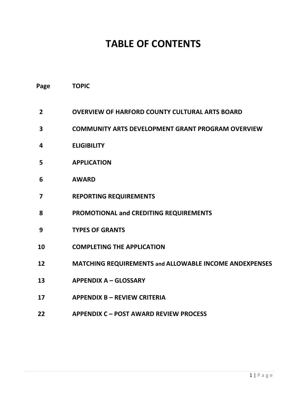# **TABLE OF CONTENTS**

| Page                    | <b>TOPIC</b>                                             |
|-------------------------|----------------------------------------------------------|
| $\overline{2}$          | <b>OVERVIEW OF HARFORD COUNTY CULTURAL ARTS BOARD</b>    |
| 3                       | <b>COMMUNITY ARTS DEVELOPMENT GRANT PROGRAM OVERVIEW</b> |
| 4                       | <b>ELIGIBILITY</b>                                       |
| 5                       | <b>APPLICATION</b>                                       |
| 6                       | <b>AWARD</b>                                             |
| $\overline{\mathbf{z}}$ | <b>REPORTING REQUIREMENTS</b>                            |
| 8                       | PROMOTIONAL and CREDITING REQUIREMENTS                   |
| 9                       | <b>TYPES OF GRANTS</b>                                   |
| 10                      | <b>COMPLETING THE APPLICATION</b>                        |
| 12                      | MATCHING REQUIREMENTS and ALLOWABLE INCOME ANDEXPENSES   |
| 13                      | <b>APPENDIX A - GLOSSARY</b>                             |
| 17                      | <b>APPENDIX B - REVIEW CRITERIA</b>                      |
|                         |                                                          |

**APPENDIX C – POST AWARD REVIEW PROCESS**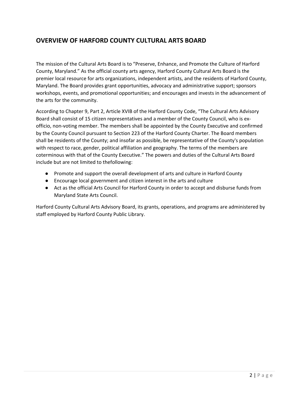## **OVERVIEW OF HARFORD COUNTY CULTURAL ARTS BOARD**

The mission of the Cultural Arts Board is to "Preserve, Enhance, and Promote the Culture of Harford County, Maryland." As the official county arts agency, Harford County Cultural Arts Board is the premier local resource for arts organizations, independent artists, and the residents of Harford County, Maryland. The Board provides grant opportunities, advocacy and administrative support; sponsors workshops, events, and promotional opportunities; and encourages and invests in the advancement of the arts for the community.

According to Chapter 9, Part 2, Article XVIB of the Harford County Code, "The Cultural Arts Advisory Board shall consist of 15 citizen representatives and a member of the County Council, who is ex‐ officio, non‐voting member. The members shall be appointed by the County Executive and confirmed by the County Council pursuant to Section 223 of the Harford County Charter. The Board members shall be residents of the County; and insofar as possible, be representative of the County's population with respect to race, gender, political affiliation and geography. The terms of the members are coterminous with that of the County Executive." The powers and duties of the Cultural Arts Board include but are not limited to thefollowing:

- Promote and support the overall development of arts and culture in Harford County
- Encourage local government and citizen interest in the arts and culture
- Act as the official Arts Council for Harford County in order to accept and disburse funds from Maryland State Arts Council.

Harford County Cultural Arts Advisory Board, its grants, operations, and programs are administered by staff employed by Harford County Public Library.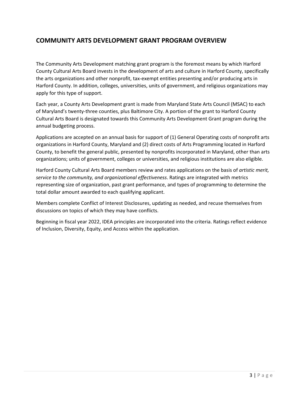## **COMMUNITY ARTS DEVELOPMENT GRANT PROGRAM OVERVIEW**

The Community Arts Development matching grant program is the foremost means by which Harford County Cultural Arts Board invests in the development of arts and culture in Harford County, specifically the arts organizations and other nonprofit, tax‐exempt entities presenting and/or producing arts in Harford County. In addition, colleges, universities, units of government, and religious organizations may apply for this type of support.

Each year, a County Arts Development grant is made from Maryland State Arts Council (MSAC) to each of Maryland's twenty‐three counties, plus Baltimore City. A portion of the grant to Harford County Cultural Arts Board is designated towards this Community Arts Development Grant program during the annual budgeting process.

Applications are accepted on an annual basis for support of (1) General Operating costs of nonprofit arts organizations in Harford County, Maryland and (2) direct costs of Arts Programming located in Harford County, to benefit the general public, presented by nonprofits incorporated in Maryland, other than arts organizations; units of government, colleges or universities, and religious institutions are also eligible.

Harford County Cultural Arts Board members review and rates applications on the basis of *artistic merit, service to the community, and organizational effectiveness*. Ratings are integrated with metrics representing size of organization, past grant performance, and types of programming to determine the total dollar amount awarded to each qualifying applicant.

Members complete Conflict of Interest Disclosures, updating as needed, and recuse themselves from discussions on topics of which they may have conflicts.

Beginning in fiscal year 2022, IDEA principles are incorporated into the criteria. Ratings reflect evidence of Inclusion, Diversity, Equity, and Access within the application.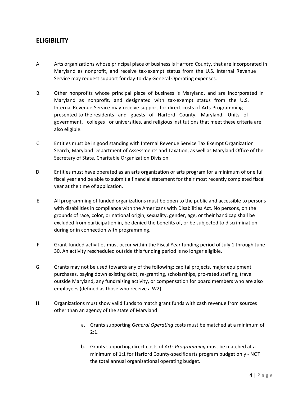### **ELIGIBILITY**

- A. Arts organizations whose principal place of business is Harford County, that are incorporated in Maryland as nonprofit, and receive tax‐exempt status from the U.S. Internal Revenue Service may request support for day-to-day General Operating expenses.
- B. Other nonprofits whose principal place of business is Maryland, and are incorporated in Maryland as nonprofit, and designated with tax‐exempt status from the U.S. Internal Revenue Service may receive support for direct costs of Arts Programming presented to the residents and guests of Harford County, Maryland. Units of government, colleges or universities, and religious institutions that meet these criteria are also eligible.
- C. Entities must be in good standing with Internal Revenue Service Tax Exempt Organization Search, Maryland Department of Assessments and Taxation, as well as Maryland Office of the Secretary of State, Charitable Organization Division.
- D. Entities must have operated as an arts organization or arts program for a minimum of one full fiscal year and be able to submit a financial statement for their most recently completed fiscal year at the time of application.
- E. All programming of funded organizations must be open to the public and accessible to persons with disabilities in compliance with the Americans with Disabilities Act. No persons, on the grounds of race, color, or national origin, sexuality, gender, age, or their handicap shall be excluded from participation in, be denied the benefits of, or be subjected to discrimination during or in connection with programming.
- F. Grant-funded activities must occur within the Fiscal Year funding period of July 1 through June 30. An activity rescheduled outside this funding period is no longer eligible.
- G. Grants may not be used towards any of the following: capital projects, major equipment purchases, paying down existing debt, re‐granting, scholarships, pro‐rated staffing, travel outside Maryland, any fundraising activity, or compensation for board members who are also employees (defined as those who receive a W2).
- H. Organizations must show valid funds to match grant funds with cash revenue from sources other than an agency of the state of Maryland
	- a. Grants supporting *General Operating* costs must be matched at a minimum of  $2:1.$
	- b. Grants supporting direct costs of *Arts Programming* must be matched at a minimum of 1:1 for Harford County‐specific arts program budget only ‐ NOT the total annual organizational operating budget.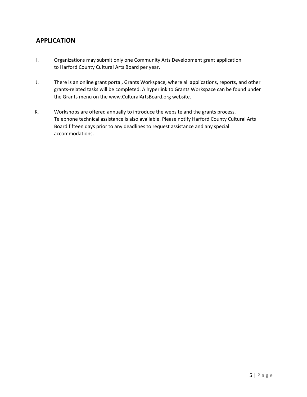## **APPLICATION**

- I. Organizations may submit only one Community Arts Development grant application to Harford County Cultural Arts Board per year.
- J. There is an online grant portal, Grants Workspace, where all applications, reports, and other grants‐related tasks will be completed. A hyperlink to Grants Workspace can be found under the Grants menu on the [www.CulturalArtsBoard.org](www.culturalartsboard.org) website.
- K. Workshops are offered annually to introduce the website and the grants process. Telephone technical assistance is also available. Please notify Harford County Cultural Arts Board fifteen days prior to any deadlines to request assistance and any special accommodations.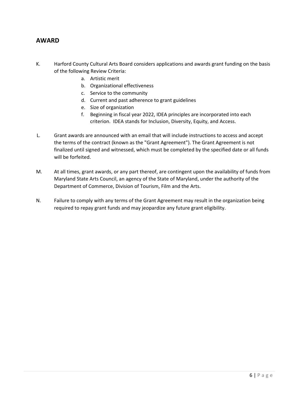### **AWARD**

- K. Harford County Cultural Arts Board considers applications and awards grant funding on the basis of the following Review Criteria:
	- a. Artistic merit
	- b. Organizational effectiveness
	- c. Service to the community
	- d. Current and past adherence to grant guidelines
	- e. Size of organization
	- f. Beginning in fiscal year 2022, IDEA principles are incorporated into each criterion. IDEA stands for Inclusion, Diversity, Equity, and Access.
- L. Grant awards are announced with an email that will include instructions to access and accept the terms of the contract (known as the "Grant Agreement"). The Grant Agreement is not finalized until signed and witnessed, which must be completed by the specified date or all funds will be forfeited.
- M. At all times, grant awards, or any part thereof, are contingent upon the availability of funds from Maryland State Arts Council, an agency of the State of Maryland, under the authority of the Department of Commerce, Division of Tourism, Film and the Arts.
- N. Failure to comply with any terms of the Grant Agreement may result in the organization being required to repay grant funds and may jeopardize any future grant eligibility.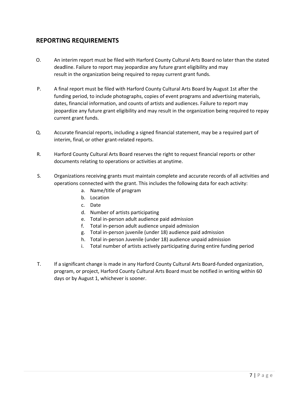## **REPORTING REQUIREMENTS**

- O. An interim report must be filed with Harford County Cultural Arts Board no later than the stated deadline. Failure to report may jeopardize any future grant eligibility and may result in the organization being required to repay current grant funds.
- P. A final report must be filed with Harford County Cultural Arts Board by August 1st after the funding period, to include photographs, copies of event programs and advertising materials, dates, financial information, and counts of artists and audiences. Failure to report may jeopardize any future grant eligibility and may result in the organization being required to repay current grant funds.
- Q. Accurate financial reports, including a signed financial statement, may be a required part of interim, final, or other grant‐related reports.
- R. Harford County Cultural Arts Board reserves the right to request financial reports or other documents relating to operations or activities at anytime.
- S. Organizations receiving grants must maintain complete and accurate records of all activities and operations connected with the grant. This includes the following data for each activity:
	- a. Name/title of program
	- b. Location
	- c. Date
	- d. Number of artists participating
	- e. Total in‐person adult audience paid admission
	- f. Total in‐person adult audience unpaid admission
	- g. Total in‐person juvenile (under 18) audience paid admission
	- h. Total in‐person Juvenile (under 18) audience unpaid admission
	- i. Total number of artists actively participating during entire funding period
- T. If a significant change is made in any Harford County Cultural Arts Board‐funded organization, program, or project, Harford County Cultural Arts Board must be notified in writing within 60 days or by August 1, whichever is sooner.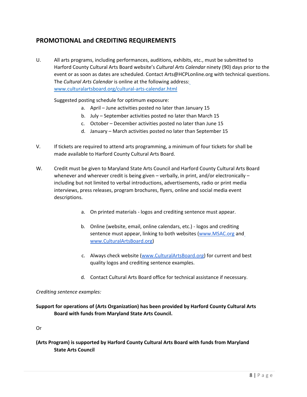## **PROMOTIONAL and CREDITING REQUIREMENTS**

U. All arts programs, including performances, auditions, exhibits, etc., must be submitted to Harford County Cultural Arts Board website's *Cultural Arts Calendar* ninety (90) days prior to the event or as soon as dates are scheduled. Contact Arts@HCPLonline.org with technical questions. The *Cultural Arts Calendar* is online at the following address: www.culturalartsboard.org/cultural‐arts‐calendar.html

Suggested posting schedule for optimum exposure:

- a. April June activities posted no later than January 15
- b. July September activities posted no later than March 15
- c. October December activities posted no later than June 15
- d. January March activities posted no later than September 15
- V. If tickets are required to attend arts programming, a minimum of four tickets for shall be made available to Harford County Cultural Arts Board.
- W. Credit must be given to Maryland State Arts Council and Harford County Cultural Arts Board whenever and wherever credit is being given – verbally, in print, and/or electronically – including but not limited to verbal introductions, advertisements, radio or print media interviews, press releases, program brochures, flyers, online and social media event descriptions.
	- a. On printed materials ‐ logos and crediting sentence must appear.
	- b. Online (website, email, online calendars, etc.) ‐ logos and crediting sentence must appear, linking to both websites (www.MSAC.org and www.CulturalArtsBoard.org)
	- c. Always check website (www.CulturalArtsBoard.org) for current and best quality logos and crediting sentence examples.
	- d. Contact Cultural Arts Board office for technical assistance if necessary.

#### *Crediting sentence examples:*

#### **Support for operations of (Arts Organization) has been provided by Harford County Cultural Arts Board with funds from Maryland State Arts Council.**

Or

**(Arts Program) is supported by Harford County Cultural Arts Board with funds from Maryland State Arts Council**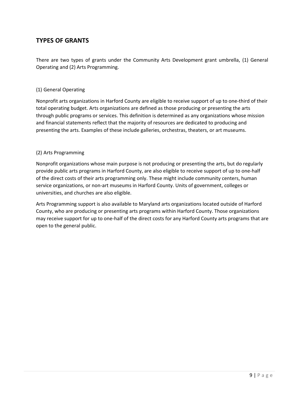## **TYPES OF GRANTS**

There are two types of grants under the Community Arts Development grant umbrella, (1) General Operating and (2) Arts Programming.

#### (1) General Operating

Nonprofit arts organizations in Harford County are eligible to receive support of up to one‐third of their total operating budget. Arts organizations are defined as those producing or presenting the arts through public programs or services. This definition is determined as any organizations whose mission and financial statements reflect that the majority of resources are dedicated to producing and presenting the arts. Examples of these include galleries, orchestras, theaters, or art museums.

#### (2) Arts Programming

Nonprofit organizations whose main purpose is not producing or presenting the arts, but do regularly provide public arts programs in Harford County, are also eligible to receive support of up to one‐half of the direct costs of their arts programming only. These might include community centers, human service organizations, or non‐art museums in Harford County. Units of government, colleges or universities, and churches are also eligible.

Arts Programming support is also available to Maryland arts organizations located outside of Harford County, who are producing or presenting arts programs within Harford County. Those organizations may receive support for up to one‐half of the direct costs for any Harford County arts programs that are open to the general public.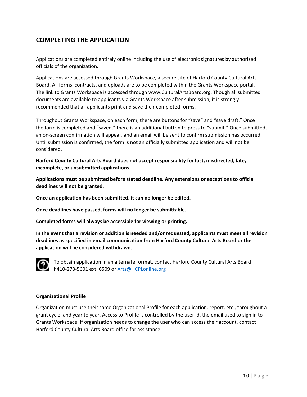## **COMPLETING THE APPLICATION**

Applications are completed entirely online including the use of electronic signatures by authorized officials of the organization.

Applications are accessed through Grants Workspace, a secure site of Harford County Cultural Arts Board. All forms, contracts, and uploads are to be completed within the Grants Workspace portal. The link to Grants Workspace is accessed through www.CulturalArtsBoard.org. Though all submitted documents are available to applicants via Grants Workspace after submission, it is strongly recommended that all applicants print and save their completed forms.

Throughout Grants Workspace, on each form, there are buttons for "save" and "save draft." Once the form is completed and "saved," there is an additional button to press to "submit." Once submitted, an on‐screen confirmation will appear, and an email will be sent to confirm submission has occurred. Until submission is confirmed, the form is not an officially submitted application and will not be considered.

**Harford County Cultural Arts Board does not accept responsibility for lost, misdirected, late, incomplete, or unsubmitted applications.**

**Applications must be submitted before stated deadline. Any extensions or exceptions to official deadlines will not be granted.**

**Once an application has been submitted, it can no longer be edited.**

**Once deadlines have passed, forms will no longer be submittable.**

**Completed forms will always be accessible for viewing or printing.**

**In the event that a revision or addition is needed and/or requested, applicants must meet all revision deadlines as specified in email communication from Harford County Cultural Arts Board or the application will be considered withdrawn.**



To obtain application in an alternate format, contact Harford County Cultural Arts Board h410-273-5601 ext. 6509 or Arts@HCPLonline.org

#### **Organizational Profile**

Organization must use their same Organizational Profile for each application, report, etc., throughout a grant cycle, and year to year. Access to Profile is controlled by the user id, the email used to sign in to Grants Workspace. If organization needs to change the user who can access their account, contact Harford County Cultural Arts Board office for assistance.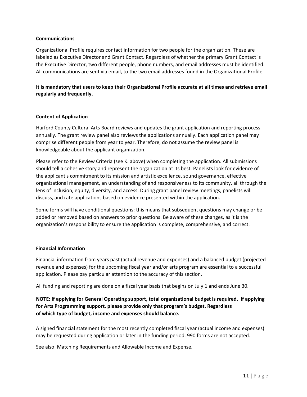#### **Communications**

Organizational Profile requires contact information for two people for the organization. These are labeled as Executive Director and Grant Contact. Regardless of whether the primary Grant Contact is the Executive Director, two different people, phone numbers, and email addresses must be identified. All communications are sent via email, to the two email addresses found in the Organizational Profile.

#### **It is mandatory that users to keep their Organizational Profile accurate at all times and retrieve email regularly and frequently.**

#### **Content of Application**

Harford County Cultural Arts Board reviews and updates the grant application and reporting process annually. The grant review panel also reviews the applications annually. Each application panel may comprise different people from year to year. Therefore, do not assume the review panel is knowledgeable about the applicant organization.

Please refer to the Review Criteria (see K. above) when completing the application. All submissions should tell a cohesive story and represent the organization at its best. Panelists look for evidence of the applicant's commitment to its mission and artistic excellence, sound governance, effective organizational management, an understanding of and responsiveness to its community, all through the lens of inclusion, equity, diversity, and access. During grant panel review meetings, panelists will discuss, and rate applications based on evidence presented within the application.

Some forms will have conditional questions; this means that subsequent questions may change or be added or removed based on answers to prior questions. Be aware of these changes, as it is the organization's responsibility to ensure the application is complete, comprehensive, and correct.

#### **Financial Information**

Financial information from years past (actual revenue and expenses) and a balanced budget (projected revenue and expenses) for the upcoming fiscal year and/or arts program are essential to a successful application. Please pay particular attention to the accuracy of this section.

All funding and reporting are done on a fiscal year basis that begins on July 1 and ends June 30.

#### **NOTE: If applying for General Operating support, total organizational budget is required. If applying for Arts Programming support, please provide only that program's budget. Regardless of which type of budget, income and expenses should balance.**

A signed financial statement for the most recently completed fiscal year (actual income and expenses) may be requested during application or later in the funding period. 990 forms are not accepted.

See also: Matching Requirements and Allowable Income and Expense.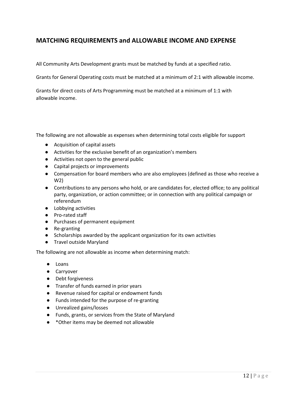## **MATCHING REQUIREMENTS and ALLOWABLE INCOME AND EXPENSE**

All Community Arts Development grants must be matched by funds at a specified ratio.

Grants for General Operating costs must be matched at a minimum of 2:1 with allowable income.

Grants for direct costs of Arts Programming must be matched at a minimum of 1:1 with allowable income.

The following are not allowable as expenses when determining total costs eligible for support

- Acquisition of capital assets
- Activities for the exclusive benefit of an organization's members
- Activities not open to the general public
- Capital projects or improvements
- Compensation for board members who are also employees (defined as those who receive a W2)
- Contributions to any persons who hold, or are candidates for, elected office; to any political party, organization, or action committee; or in connection with any political campaign or referendum
- Lobbying activities
- Pro-rated staff
- Purchases of permanent equipment
- Re-granting
- Scholarships awarded by the applicant organization for its own activities
- Travel outside Maryland

The following are not allowable as income when determining match:

- Loans
- Carryover
- Debt forgiveness
- Transfer of funds earned in prior years
- Revenue raised for capital or endowment funds
- Funds intended for the purpose of re-granting
- Unrealized gains/losses
- Funds, grants, or services from the State of Maryland
- \*Other items may be deemed not allowable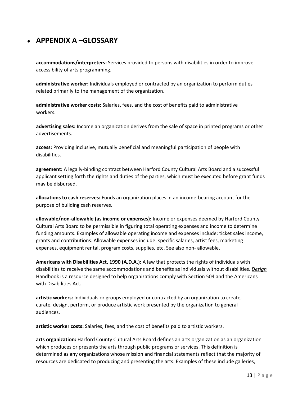## ● **APPENDIX A –GLOSSARY**

**accommodations/interpreters:** Services provided to persons with disabilities in order to improve accessibility of arts programming.

**administrative worker:** Individuals employed or contracted by an organization to perform duties related primarily to the management of the organization.

**administrative worker costs:** Salaries, fees, and the cost of benefits paid to administrative workers.

**advertising sales:** Income an organization derives from the sale of space in printed programs or other advertisements.

**access:** Providing inclusive, mutually beneficial and meaningful participation of people with disabilities.

**agreement:** A legally‐binding contract between Harford County Cultural Arts Board and a successful applicant setting forth the rights and duties of the parties, which must be executed before grant funds may be disbursed.

**allocations to cash reserves:** Funds an organization places in an income‐bearing account for the purpose of building cash reserves.

**allowable/non‐allowable (as income or expenses):** Income or expenses deemed by Harford County Cultural Arts Board to be permissible in figuring total operating expenses and income to determine funding amounts. Examples of allowable operating income and expenses include: ticket sales income, grants and contributions. Allowable expenses include: specific salaries, artist fees, marketing expenses, equipment rental, program costs, supplies, etc. See also non‐ allowable.

**Americans with Disabilities Act, 1990 (A.D.A.):** A law that protects the rights of individuals with disabilities to receive the same accommodations and benefits as individuals without disabilities. *Design* Handbook is a resource designed to help organizations comply with Section 504 and the Americans with Disabilities Act.

**artistic workers:** Individuals or groups employed or contracted by an organization to create, curate, design, perform, or produce artistic work presented by the organization to general audiences.

**artistic worker costs:** Salaries, fees, and the cost of benefits paid to artistic workers.

**arts organization:** Harford County Cultural Arts Board defines an arts organization as an organization which produces or presents the arts through public programs or services. This definition is determined as any organizations whose mission and financial statements reflect that the majority of resources are dedicated to producing and presenting the arts. Examples of these include galleries,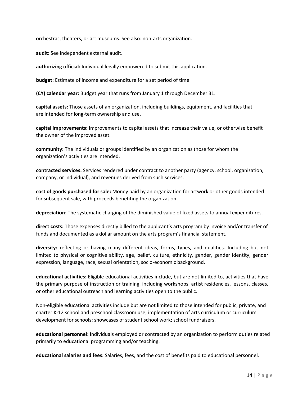orchestras, theaters, or art museums. See also: non‐arts organization.

**audit:** See independent external audit.

**authorizing official:** Individual legally empowered to submit this application.

**budget:** Estimate of income and expenditure for a set period of time

**(CY) calendar year:** Budget year that runs from January 1 through December 31.

**capital assets:** Those assets of an organization, including buildings, equipment, and facilities that are intended for long‐term ownership and use.

**capital improvements:** Improvements to capital assets that increase their value, or otherwise benefit the owner of the improved asset.

**community:** The individuals or groups identified by an organization as those for whom the organization's activities are intended.

**contracted services:** Services rendered under contract to another party (agency, school, organization, company, or individual), and revenues derived from such services.

**cost of goods purchased for sale:** Money paid by an organization for artwork or other goods intended for subsequent sale, with proceeds benefiting the organization.

**depreciation**: The systematic charging of the diminished value of fixed assets to annual expenditures.

**direct costs:** Those expenses directly billed to the applicant's arts program by invoice and/or transfer of funds and documented as a dollar amount on the arts program's financial statement.

**diversity:** reflecting or having many different ideas, forms, types, and qualities. Including but not limited to physical or cognitive ability, age, belief, culture, ethnicity, gender, gender identity, gender expression, language, race, sexual orientation, socio‐economic background.

**educational activities:** Eligible educational activities include, but are not limited to, activities that have the primary purpose of instruction or training, including workshops, artist residencies, lessons, classes, or other educational outreach and learning activities open to the public.

Non‐eligible educational activities include but are not limited to those intended for public, private, and charter K‐12 school and preschool classroom use; implementation of arts curriculum or curriculum development for schools; showcases of student school work; school fundraisers.

**educational personnel:** Individuals employed or contracted by an organization to perform duties related primarily to educational programming and/or teaching.

**educational salaries and fees:** Salaries, fees, and the cost of benefits paid to educational personnel.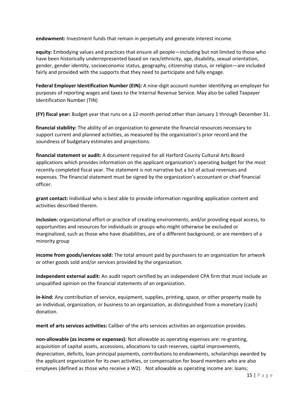**endowment:** Investment funds that remain in perpetuity and generate interest income.

**equity:** Embodying values and practices that ensure all people—including but not limited to those who have been historically underrepresented based on race/ethnicity, age, disability, sexual orientation, gender, gender identity, socioeconomic status, geography, citizenship status, or religion—are included fairly and provided with the supports that they need to participate and fully engage.

**Federal Employer Identification Number (EIN):** A nine‐digit account number identifying an employer for purposes of reporting wages and taxes to the Internal Revenue Service. May also be called Taxpayer Identification Number (TIN)

**(FY) fiscal year:** Budget year that runs on a 12‐month period other than January 1 through December 31.

**financial stability:** The ability of an organization to generate the financial resources necessary to support current and planned activities, as measured by the organization's prior record and the soundness of budgetary estimates and projections.

**financial statement or audit:** A document required for all Harford County Cultural Arts Board applications which provides information on the applicant organization's operating budget for the most recently completed fiscal year. The statement is not narrative but a list of actual revenues and expenses. The financial statement must be signed by the organization's accountant or chief financial officer.

**grant contact:** Individual who is best able to provide information regarding application content and activities described therein.

**inclusion:** organizational effort or practice of creating environments, and/or providing equal access, to opportunities and resources for individuals or groups who might otherwise be excluded or marginalized, such as those who have disabilities, are of a different background, or are members of a minority group

**income from goods/services sold:** The total amount paid by purchasers to an organization for artwork or other goods sold and/or services provided by the organization.

**independent external audit:** An audit report certified by an independent CPA firm that must include an unqualified opinion on the financial statements of an organization.

**in‐kind:** Any contribution of service, equipment, supplies, printing, space, or other property made by an individual, organization, or business to an organization, as distinguished from a monetary (cash) donation.

**merit of arts services activities:** Caliber of the arts services activities an organization provides.

**non‐allowable (as income or expenses):** Not allowable as operating expenses are: re‐granting, acquisition of capital assets, accessions, allocations to cash reserves, capital improvements, depreciation, deficits, loan principal payments, contributions to endowments, scholarships awarded by the applicant organization for its own activities, or compensation for board members who are also emplyees (defined as those who receive a W2). Not allowable as operating income are: loans;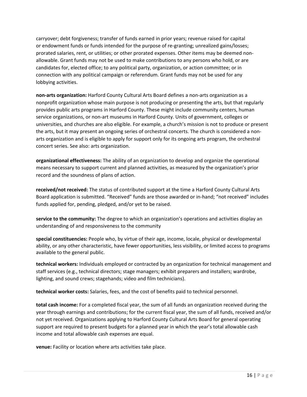carryover; debt forgiveness; transfer of funds earned in prior years; revenue raised for capital or endowment funds or funds intended for the purpose of re‐granting; unrealized gains/losses; prorated salaries, rent, or utilities; or other prorated expenses. Other items may be deemed non‐ allowable. Grant funds may not be used to make contributions to any persons who hold, or are candidates for, elected office; to any political party, organization, or action committee; or in connection with any political campaign or referendum. Grant funds may not be used for any lobbying activities.

**non‐arts organization:** Harford County Cultural Arts Board defines a non‐arts organization as a nonprofit organization whose main purpose is not producing or presenting the arts, but that regularly provides public arts programs in Harford County. These might include community centers, human service organizations, or non‐art museums in Harford County. Units of government, colleges or universities, and churches are also eligible. For example, a church's mission is not to produce or present the arts, but it may present an ongoing series of orchestral concerts. The church is considered a non‐ arts organization and is eligible to apply for support only for its ongoing arts program, the orchestral concert series. See also: arts organization.

**organizational effectiveness:** The ability of an organization to develop and organize the operational means necessary to support current and planned activities, as measured by the organization's prior record and the soundness of plans of action.

**received/not received:** The status of contributed support at the time a Harford County Cultural Arts Board application is submitted. "Received" funds are those awarded or in‐hand; "not received" includes funds applied for, pending, pledged, and/or yet to be raised.

**service to the community:** The degree to which an organization's operations and activities display an understanding of and responsiveness to the community

**special constituencies:** People who, by virtue of their age, income, locale, physical or developmental ability, or any other characteristic, have fewer opportunities, less visibility, or limited access to programs available to the general public.

**technical workers:** Individuals employed or contracted by an organization for technical management and staff services (e.g., technical directors; stage managers; exhibit preparers and installers; wardrobe, lighting, and sound crews; stagehands; video and film technicians).

**technical worker costs:** Salaries, fees, and the cost of benefits paid to technical personnel.

**total cash income:** For a completed fiscal year, the sum of all funds an organization received during the year through earnings and contributions; for the current fiscal year, the sum of all funds, received and/or not yet received. Organizations applying to Harford County Cultural Arts Board for general operating support are required to present budgets for a planned year in which the year's total allowable cash income and total allowable cash expenses are equal.

**venue:** Facility or location where arts activities take place.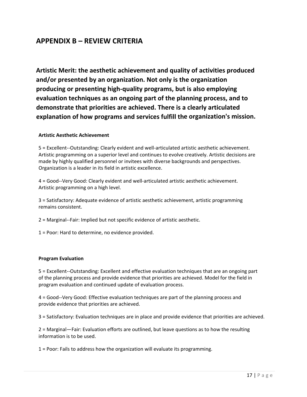## **APPENDIX B – REVIEW CRITERIA**

**Artistic Merit: the aesthetic achievement and quality of activities produced and/or presented by an organization. Not only is the organization producing or presenting high‐quality programs, but is also employing evaluation techniques as an ongoing part of the planning process, and to demonstrate that priorities are achieved. There is a clearly articulated explanation of how programs and services fulfill the organization's mission.**

#### **Artistic Aesthetic Achievement**

5 = Excellent‐‐Outstanding: Clearly evident and well‐articulated artistic aesthetic achievement. Artistic programming on a superior level and continues to evolve creatively. Artistic decisions are made by highly qualified personnel or invitees with diverse backgrounds and perspectives. Organization is a leader in its field in artistic excellence.

4 = Good‐‐Very Good: Clearly evident and well‐articulated artistic aesthetic achievement. Artistic programming on a high level.

3 = Satisfactory: Adequate evidence of artistic aesthetic achievement, artistic programming remains consistent.

2 = Marginal‐‐Fair: Implied but not specific evidence of artistic aesthetic.

1 = Poor: Hard to determine, no evidence provided.

#### **Program Evaluation**

5 = Excellent‐‐Outstanding: Excellent and effective evaluation techniques that are an ongoing part of the planning process and provide evidence that priorities are achieved. Model for the field in program evaluation and continued update of evaluation process.

4 = Good‐‐Very Good: Effective evaluation techniques are part of the planning process and provide evidence that priorities are achieved.

3 = Satisfactory: Evaluation techniques are in place and provide evidence that priorities are achieved.

2 = Marginal—Fair: Evaluation efforts are outlined, but leave questions as to how the resulting information is to be used.

1 = Poor: Fails to address how the organization will evaluate its programming.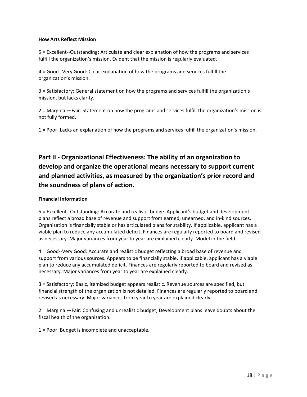#### **How Arts Reflect Mission**

5 = Excellent‐‐Outstanding: Articulate and clear explanation of how the programs and services fulfill the organization's mission. Evident that the mission is regularly evaluated.

4 = Good‐‐Very Good: Clear explanation of how the programs and services fulfill the organization's mission.

3 = Satisfactory: General statement on how the programs and services fulfill the organization's mission, but lacks clarity.

2 = Marginal—Fair: Statement on how the programs and services fulfill the organization's mission is not fully formed.

1 = Poor: Lacks an explanation of how the programs and services fulfill the organization's mission.

## **Part II ‐ Organizational Effectiveness: The ability of an organization to develop and organize the operational means necessary to support current and planned activities, as measured by the organization's prior record and the soundness of plans of action.**

#### **Financial Information**

5 = Excellent‐‐Outstanding: Accurate and realistic budge. Applicant's budget and development plans reflect a broad base of revenue and support from earned, unearned, and in‐kind sources. Organization is financially stable or has articulated plans for stability. If applicable, applicant has a viable plan to reduce any accumulated deficit. Finances are regularly reported to board and revised as necessary. Major variances from year to year are explained clearly. Model in the field.

4 = Good‐‐Very Good: Accurate and realistic budget reflecting a broad base of revenue and support from various sources. Appears to be financially stable. If applicable, applicant has a viable plan to reduce any accumulated deficit. Finances are regularly reported to board and revised as necessary. Major variances from year to year are explained clearly.

3 = Satisfactory: Basic, itemized budget appears realistic. Revenue sources are specified, but financial strength of the organization is not detailed. Finances are regularly reported to board and revised as necessary. Major variances from year to year are explained clearly.

2 = Marginal—Fair: Confusing and unrealistic budget; Development plans leave doubts about the fiscal health of the organization.

1 = Poor: Budget is incomplete and unacceptable.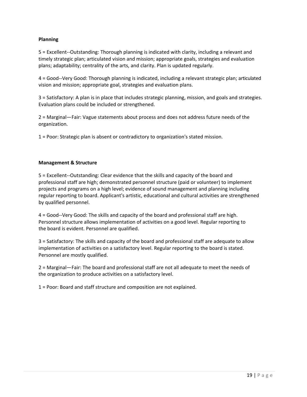#### **Planning**

5 = Excellent‐‐Outstanding: Thorough planning is indicated with clarity, including a relevant and timely strategic plan; articulated vision and mission; appropriate goals, strategies and evaluation plans; adaptability; centrality of the arts, and clarity. Plan is updated regularly.

4 = Good‐‐Very Good: Thorough planning is indicated, including a relevant strategic plan; articulated vision and mission; appropriate goal, strategies and evaluation plans.

3 = Satisfactory: A plan is in place that includes strategic planning, mission, and goals and strategies. Evaluation plans could be included or strengthened.

2 = Marginal—Fair: Vague statements about process and does not address future needs of the organization.

1 = Poor: Strategic plan is absent or contradictory to organization's stated mission.

#### **Management & Structure**

5 = Excellent--Outstanding: Clear evidence that the skills and capacity of the board and professional staff are high; demonstrated personnel structure (paid or volunteer) to implement projects and programs on a high level; evidence of sound management and planning including regular reporting to board. Applicant's artistic, educational and cultural activities are strengthened by qualified personnel.

4 = Good‐‐Very Good: The skills and capacity of the board and professional staff are high. Personnel structure allows implementation of activities on a good level. Regular reporting to the board is evident. Personnel are qualified.

3 = Satisfactory: The skills and capacity of the board and professional staff are adequate to allow implementation of activities on a satisfactory level. Regular reporting to the board is stated. Personnel are mostly qualified.

2 = Marginal—Fair: The board and professional staff are not all adequate to meet the needs of the organization to produce activities on a satisfactory level.

1 = Poor: Board and staff structure and composition are not explained.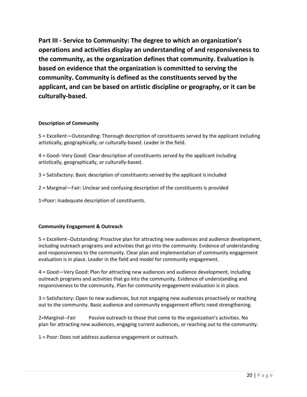**Part III ‐ Service to Community: The degree to which an organization's operations and activities display an understanding of and responsiveness to the community, as the organization defines that community. Evaluation is based on evidence that the organization is committed to serving the community. Community is defined as the constituents served by the applicant, and can be based on artistic discipline or geography, or it can be culturally‐based.**

#### **Description of Community**

5 = Excellent—Outstanding: Thorough description of constituents served by the applicant including artistically, geographically, or culturally‐based. Leader in the field.

4 = Good‐‐Very Good: Clear description of constituents served by the applicant including artistically, geographically, or culturally‐based.

3 = Satisfactory: Basic description of constituents served by the applicant isincluded

2 = Marginal—Fair: Unclear and confusing description of the constituents is provided

1=Poor: Inadequate description of constituents.

#### **Community Engagement & Outreach**

5 = Excellent‐‐Outstanding: Proactive plan for attracting new audiences and audience development, including outreach programs and activities that go into the community. Evidence of understanding and responsiveness to the community. Clear plan and implementation of community engagement evaluation is in place. Leader in the field and model for community engagement.

4 = Good—Very Good: Plan for attracting new audiences and audience development, including outreach programs and activities that go into the community. Evidence of understanding and responsiveness to the community. Plan for community engagement evaluation is in place.

3 = Satisfactory: Open to new audiences, but not engaging new audiences proactively or reaching out to the community. Basic audience and community engagement efforts need strengthening.

2=Marginal--Fair Passive outreach to those that come to the organization's activities. No plan for attracting new audiences, engaging current audiences, or reaching out to the community.

1 = Poor: Does not address audience engagement or outreach.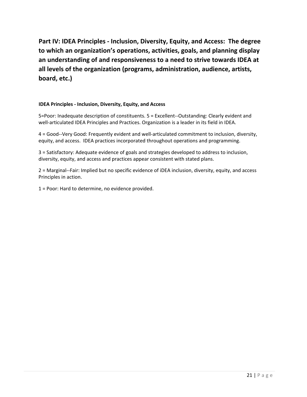**Part IV: IDEA Principles - Inclusion, Diversity, Equity, and Access: The degree to which an organization's operations, activities, goals, and planning display an understanding of and responsiveness to a need to strive towards IDEA at all levels of the organization (programs, administration, audience, artists, board, etc.)** 

#### **IDEA Principles - Inclusion, Diversity, Equity, and Access**

5=Poor: Inadequate description of constituents. 5 = Excellent--Outstanding: Clearly evident and well-articulated IDEA Principles and Practices. Organization is a leader in its field in IDEA.

4 = Good--Very Good: Frequently evident and well-articulated commitment to inclusion, diversity, equity, and access. IDEA practices incorporated throughout operations and programming.

3 = Satisfactory: Adequate evidence of goals and strategies developed to address to inclusion, diversity, equity, and access and practices appear consistent with stated plans.

2 = Marginal--Fair: Implied but no specific evidence of iDEA inclusion, diversity, equity, and access Principles in action.

1 = Poor: Hard to determine, no evidence provided.